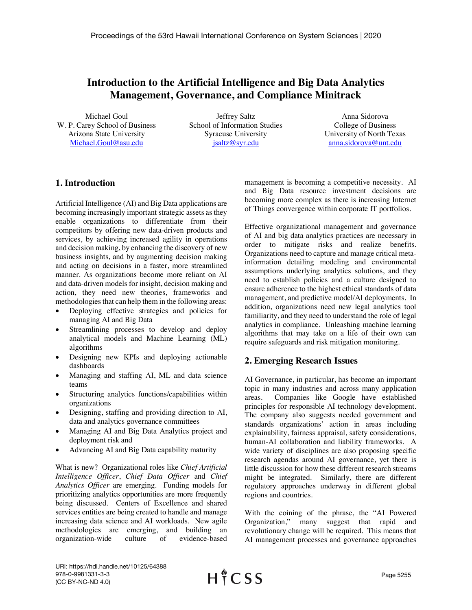## **Introduction to the Artificial Intelligence and Big Data Analytics Management, Governance, and Compliance Minitrack**

Michael Goul W. P. Carey School of Business Arizona State University Michael.Goul@asu.edu

Jeffrey Saltz School of Information Studies Syracuse University jsaltz@syr.edu

Anna Sidorova College of Business University of North Texas anna.sidorova@unt.edu

## **1. Introduction**

Artificial Intelligence (AI) and Big Data applications are becoming increasingly important strategic assets as they enable organizations to differentiate from their competitors by offering new data-driven products and services, by achieving increased agility in operations and decision making, by enhancing the discovery of new business insights, and by augmenting decision making and acting on decisions in a faster, more streamlined manner. As organizations become more reliant on AI and data-driven models for insight, decision making and action, they need new theories, frameworks and methodologies that can help them in the following areas:

- Deploying effective strategies and policies for managing AI and Big Data
- Streamlining processes to develop and deploy analytical models and Machine Learning (ML) algorithms
- Designing new KPIs and deploying actionable dashboards
- Managing and staffing AI, ML and data science teams
- Structuring analytics functions/capabilities within organizations
- Designing, staffing and providing direction to AI, data and analytics governance committees
- Managing AI and Big Data Analytics project and deployment risk and
- Advancing AI and Big Data capability maturity

What is new? Organizational roles like *Chief Artificial Intelligence Officer*, *Chief Data Officer* and *Chief Analytics Officer* are emerging. Funding models for prioritizing analytics opportunities are more frequently being discussed. Centers of Excellence and shared services entities are being created to handle and manage increasing data science and AI workloads. New agile methodologies are emerging, and building an organization-wide culture of evidence-based management is becoming a competitive necessity. AI and Big Data resource investment decisions are becoming more complex as there is increasing Internet of Things convergence within corporate IT portfolios.

Effective organizational management and governance of AI and big data analytics practices are necessary in order to mitigate risks and realize benefits. Organizations need to capture and manage critical metainformation detailing modeling and environmental assumptions underlying analytics solutions, and they need to establish policies and a culture designed to ensure adherence to the highest ethical standards of data management, and predictive model/AI deployments. In addition, organizations need new legal analytics tool familiarity, and they need to understand the role of legal analytics in compliance. Unleashing machine learning algorithms that may take on a life of their own can require safeguards and risk mitigation monitoring.

## **2. Emerging Research Issues**

AI Governance, in particular, has become an important topic in many industries and across many application areas. Companies like Google have established principles for responsible AI technology development. The company also suggests needed government and standards organizations' action in areas including explainability, fairness appraisal, safety considerations, human-AI collaboration and liability frameworks. A wide variety of disciplines are also proposing specific research agendas around AI governance, yet there is little discussion for how these different research streams might be integrated. Similarly, there are different regulatory approaches underway in different global regions and countries.

With the coining of the phrase, the "AI Powered Organization," many suggest that rapid and revolutionary change will be required. This means that AI management processes and governance approaches

URI: https://hdl.handle.net/10125/64388 978-0-9981331-3-3 (CC BY-NC-ND 4.0)